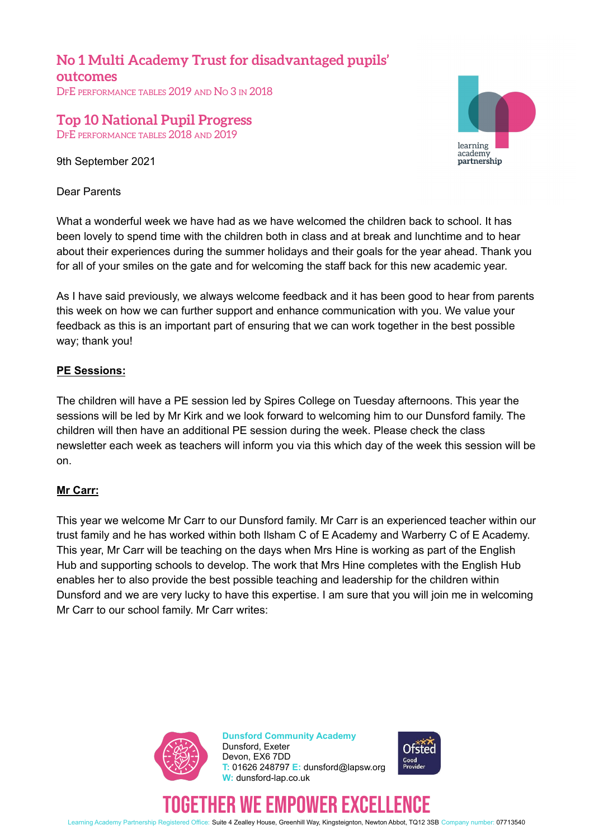**No 1 Multi Academy Trust for disadvantaged pupils' outcomes** DFE PERFORMANCE TABLES 2019 AND NO 3 IN 2018

## **Top 10 National Pupil Progress** DFE PERFORMANCE TABLES 2018 AND 2019

9th September 2021

Dear Parents



What a wonderful week we have had as we have welcomed the children back to school. It has been lovely to spend time with the children both in class and at break and lunchtime and to hear about their experiences during the summer holidays and their goals for the year ahead. Thank you for all of your smiles on the gate and for welcoming the staff back for this new academic year.

As I have said previously, we always welcome feedback and it has been good to hear from parents this week on how we can further support and enhance communication with you. We value your feedback as this is an important part of ensuring that we can work together in the best possible way; thank you!

## **PE Sessions:**

The children will have a PE session led by Spires College on Tuesday afternoons. This year the sessions will be led by Mr Kirk and we look forward to welcoming him to our Dunsford family. The children will then have an additional PE session during the week. Please check the class newsletter each week as teachers will inform you via this which day of the week this session will be on.

### **Mr Carr:**

This year we welcome Mr Carr to our Dunsford family. Mr Carr is an experienced teacher within our trust family and he has worked within both Ilsham C of E Academy and Warberry C of E Academy. This year, Mr Carr will be teaching on the days when Mrs Hine is working as part of the English Hub and supporting schools to develop. The work that Mrs Hine completes with the English Hub enables her to also provide the best possible teaching and leadership for the children within Dunsford and we are very lucky to have this expertise. I am sure that you will join me in welcoming Mr Carr to our school family. Mr Carr writes:



**Dunsford Community Academy** Dunsford, Exeter Devon, EX6 7DD **T:** 01626 248797 **E:** dunsford@lapsw.org **W:** dunsford-lap.co.uk



# WE EMPUWER EXCE

Learning Academy Partnership Registered Office: Suite 4 Zealley House, Greenhill Way, Kingsteignton, Newton Abbot, TQ12 3SB Company number: 07713540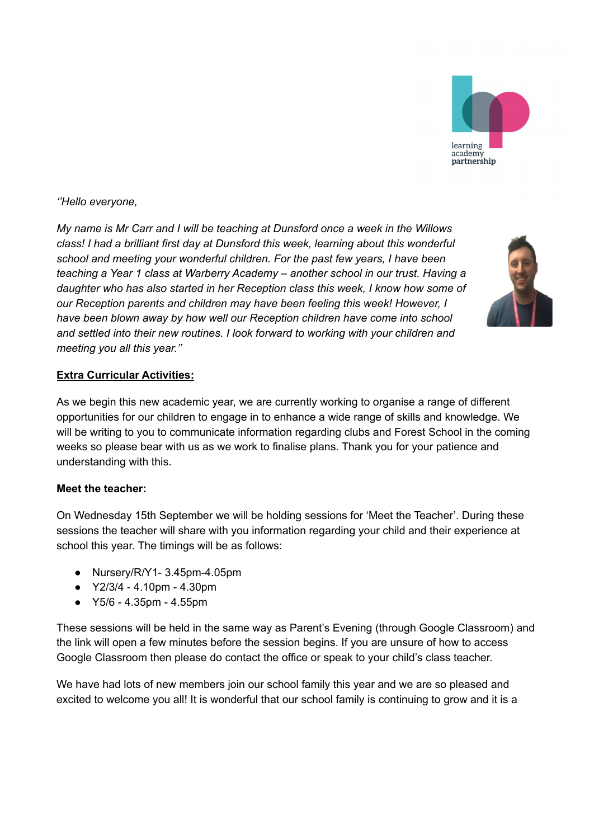

*''Hello everyone,*

*My name is Mr Carr and I will be teaching at Dunsford once a week in the Willows class! I had a brilliant first day at Dunsford this week, learning about this wonderful school and meeting your wonderful children. For the past few years, I have been teaching a Year 1 class at Warberry Academy – another school in our trust. Having a daughter who has also started in her Reception class this week, I know how some of our Reception parents and children may have been feeling this week! However, I have been blown away by how well our Reception children have come into school and settled into their new routines. I look forward to working with your children and meeting you all this year.''*



## **Extra Curricular Activities:**

As we begin this new academic year, we are currently working to organise a range of different opportunities for our children to engage in to enhance a wide range of skills and knowledge. We will be writing to you to communicate information regarding clubs and Forest School in the coming weeks so please bear with us as we work to finalise plans. Thank you for your patience and understanding with this.

### **Meet the teacher:**

On Wednesday 15th September we will be holding sessions for 'Meet the Teacher'. During these sessions the teacher will share with you information regarding your child and their experience at school this year. The timings will be as follows:

- Nursery/R/Y1- 3.45pm-4.05pm
- Y2/3/4 4.10pm 4.30pm
- Y5/6 4.35pm 4.55pm

These sessions will be held in the same way as Parent's Evening (through Google Classroom) and the link will open a few minutes before the session begins. If you are unsure of how to access Google Classroom then please do contact the office or speak to your child's class teacher.

We have had lots of new members join our school family this year and we are so pleased and excited to welcome you all! It is wonderful that our school family is continuing to grow and it is a